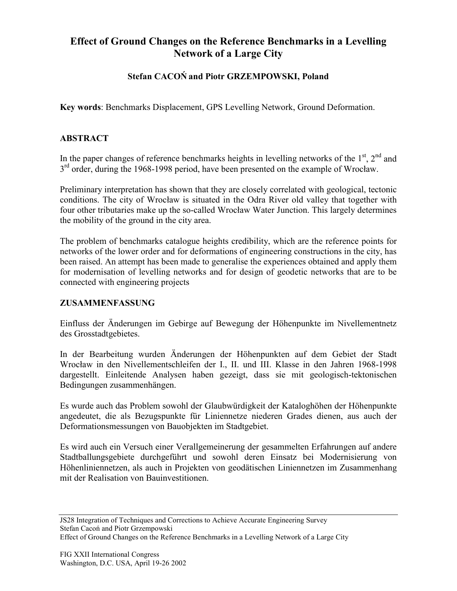# **Effect of Ground Changes on the Reference Benchmarks in a Levelling Network of a Large City**

## **Stefan CACOŃ and Piotr GRZEMPOWSKI, Poland**

**Key words**: Benchmarks Displacement, GPS Levelling Network, Ground Deformation.

#### **ABSTRACT**

In the paper changes of reference benchmarks heights in levelling networks of the  $1<sup>st</sup>$ ,  $2<sup>nd</sup>$  and  $3<sup>rd</sup>$  order, during the 1968-1998 period, have been presented on the example of Wrocław.

Preliminary interpretation has shown that they are closely correlated with geological, tectonic conditions. The city of Wrocław is situated in the Odra River old valley that together with four other tributaries make up the so-called Wrocław Water Junction. This largely determines the mobility of the ground in the city area.

The problem of benchmarks catalogue heights credibility, which are the reference points for networks of the lower order and for deformations of engineering constructions in the city, has been raised. An attempt has been made to generalise the experiences obtained and apply them for modernisation of levelling networks and for design of geodetic networks that are to be connected with engineering projects

#### **ZUSAMMENFASSUNG**

Einfluss der Änderungen im Gebirge auf Bewegung der Höhenpunkte im Nivellementnetz des Grosstadtgebietes.

In der Bearbeitung wurden Änderungen der Höhenpunkten auf dem Gebiet der Stadt Wrocław in den Nivellementschleifen der I., II. und III. Klasse in den Jahren 1968-1998 dargestellt. Einleitende Analysen haben gezeigt, dass sie mit geologisch-tektonischen Bedingungen zusammenhängen.

Es wurde auch das Problem sowohl der Glaubwürdigkeit der Kataloghöhen der Höhenpunkte angedeutet, die als Bezugspunkte für Liniennetze niederen Grades dienen, aus auch der Deformationsmessungen von Bauobjekten im Stadtgebiet.

Es wird auch ein Versuch einer Verallgemeinerung der gesammelten Erfahrungen auf andere Stadtballungsgebiete durchgeführt und sowohl deren Einsatz bei Modernisierung von Höhenliniennetzen, als auch in Projekten von geodätischen Liniennetzen im Zusammenhang mit der Realisation von Bauinvestitionen.

JS28 Integration of Techniques and Corrections to Achieve Accurate Engineering Survey Stefan Cacoń and Piotr Grzempowski

Effect of Ground Changes on the Reference Benchmarks in a Levelling Network of a Large City